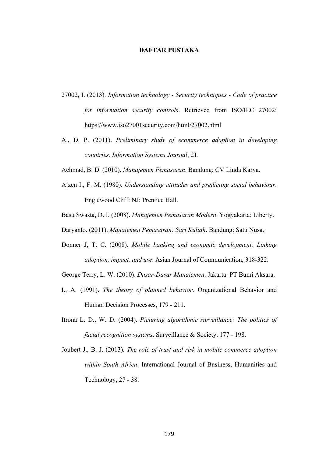## **DAFTAR PUSTAKA**

- 27002, I. (2013). *Information technology - Security techniques - Code of practice for information security controls*. Retrieved from ISO/IEC 27002: https://www.iso27001security.com/html/27002.html
- A., D. P. (2011). *Preliminary study of ecommerce adoption in developing countries. Information Systems Journal*, 21.
- Achmad, B. D. (2010). *Manajemen Pemasaran*. Bandung: CV Linda Karya.
- Ajzen I., F. M. (1980). *Understanding attitudes and predicting social behaviour*. Englewood Cliff: NJ: Prentice Hall.
- Basu Swasta, D. I. (2008). *Manajemen Pemasaran Modern*. Yogyakarta: Liberty.
- Daryanto. (2011). *Manajemen Pemasaran: Sari Kuliah*. Bandung: Satu Nusa.
- Donner J, T. C. (2008). *Mobile banking and economic development: Linking adoption, impact, and use*. Asian Journal of Communication, 318-322.
- George Terry, L. W. (2010). *Dasar-Dasar Manajemen*. Jakarta: PT Bumi Aksara.
- I., A. (1991). *The theory of planned behavior*. Organizational Behavior and Human Decision Processes, 179 - 211.
- Itrona L. D., W. D. (2004). *Picturing algorithmic surveillance: The politics of facial recognition systems*. Surveillance & Society, 177 - 198.
- Joubert J., B. J. (2013). *The role of trust and risk in mobile commerce adoption within South Africa*. International Journal of Business, Humanities and Technology, 27 - 38.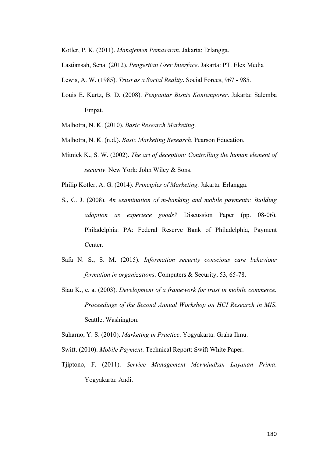Kotler, P. K. (2011). *Manajemen Pemasaran*. Jakarta: Erlangga.

Lastiansah, Sena. (2012). *Pengertian User Interface*. Jakarta: PT. Elex Media

Lewis, A. W. (1985). *Trust as a Social Reality*. Social Forces, 967 - 985.

Louis E. Kurtz, B. D. (2008). *Pengantar Bisnis Kontemporer*. Jakarta: Salemba Empat.

Malhotra, N. K. (2010). *Basic Research Marketing*.

- Malhotra, N. K. (n.d.). *Basic Marketing Research*. Pearson Education.
- Mitnick K., S. W. (2002). *The art of deception: Controlling the human element of security*. New York: John Wiley & Sons.

Philip Kotler, A. G. (2014). *Principles of Marketing*. Jakarta: Erlangga.

- S., C. J. (2008). *An examination of m-banking and mobile payments: Building adoption as experiece goods?* Discussion Paper (pp. 08-06). Philadelphia: PA: Federal Reserve Bank of Philadelphia, Payment Center.
- Safa N. S., S. M. (2015). *Information security conscious care behaviour formation in organizations*. Computers & Security, 53, 65-78.
- Siau K., e. a. (2003). *Development of a framework for trust in mobile commerce. Proceedings of the Second Annual Workshop on HCI Research in MIS*. Seattle, Washington.

Suharno, Y. S. (2010). *Marketing in Practice*. Yogyakarta: Graha Ilmu.

- Swift. (2010). *Mobile Payment*. Technical Report: Swift White Paper.
- Tjiptono, F. (2011). *Service Management Mewujudkan Layanan Prima*. Yogyakarta: Andi.